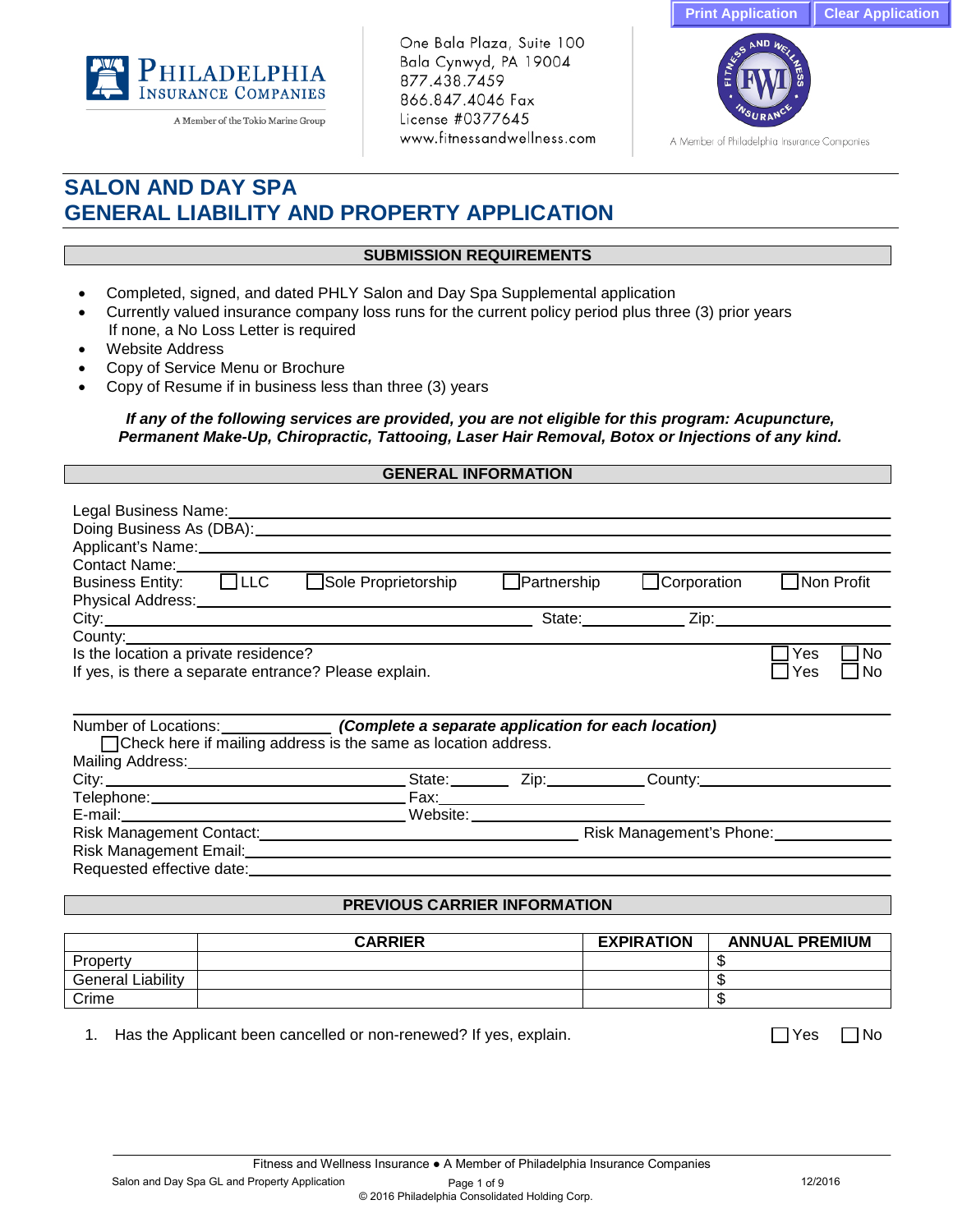



A Member of the Tokio Marine Group

One Bala Plaza, Suite 100 Bala Cynwyd, PA 19004 877.438.7459 866.847.4046 Fax License #0377645 www.fitnessandwellness.com



A Member of Philadelphia Insurance Companies

# **SALON AND DAY SPA GENERAL LIABILITY AND PROPERTY APPLICATION**

## **SUBMISSION REQUIREMENTS**

- Completed, signed, and dated PHLY Salon and Day Spa Supplemental application
- Currently valued insurance company loss runs for the current policy period plus three (3) prior years If none, a No Loss Letter is required
- Website Address
- Copy of Service Menu or Brochure
- Copy of Resume if in business less than three (3) years

*If any of the following services are provided, you are not eligible for this program: Acupuncture, Permanent Make-Up, Chiropractic, Tattooing, Laser Hair Removal, Botox or Injections of any kind.*

## **GENERAL INFORMATION**

| Legal Business Name: Name: Name and Allegal Business Name: Name and Allegal Business Name and Allegal Business<br>Contact Name:                                                                                                                                                                                                                                               |                      |                                 |             |             |                  |
|-------------------------------------------------------------------------------------------------------------------------------------------------------------------------------------------------------------------------------------------------------------------------------------------------------------------------------------------------------------------------------|----------------------|---------------------------------|-------------|-------------|------------------|
| Business Entity: □ LLC                                                                                                                                                                                                                                                                                                                                                        | □Sole Proprietorship | $\Box$ Partnership              | Corporation | ∐Non Profit |                  |
| Physical Address: Management of the Charles Control of the Charles Control of the Charles Control of the Charles Control of the Charles Control of the Charles Control of the Charles Control of the Charles Control of the Ch                                                                                                                                                |                      |                                 |             |             |                  |
| County: County:                                                                                                                                                                                                                                                                                                                                                               |                      |                                 |             |             |                  |
| Is the location a private residence?<br>If yes, is there a separate entrance? Please explain.                                                                                                                                                                                                                                                                                 |                      |                                 |             | Yes<br>Yes  | <b>No</b><br>No. |
| Number of Locations: (Complete a separate application for each location)<br>□ Check here if mailing address is the same as location address.<br>Mailing Address: Mail Address And Address and Address and Address and Address and Address and Address and Address and Address and Address and Address and Address and Address and Address and Address and Address and Address |                      |                                 |             |             |                  |
|                                                                                                                                                                                                                                                                                                                                                                               |                      | State: <u>Zip: Zip:</u> County: |             |             |                  |
|                                                                                                                                                                                                                                                                                                                                                                               |                      |                                 |             |             |                  |
|                                                                                                                                                                                                                                                                                                                                                                               |                      |                                 |             |             |                  |
|                                                                                                                                                                                                                                                                                                                                                                               |                      |                                 |             |             |                  |
| Risk Management Email: University of the Contract of the Contract of the Contract of the Contract of the Contract of the Contract of the Contract of the Contract of the Contract of the Contract of the Contract of the Contr                                                                                                                                                |                      |                                 |             |             |                  |
|                                                                                                                                                                                                                                                                                                                                                                               |                      |                                 |             |             |                  |

### **PREVIOUS CARRIER INFORMATION**

|                      | <b>CARRIER</b> | <b>EXPIRATION</b> | <b>ANNUAL PREMIUM</b> |
|----------------------|----------------|-------------------|-----------------------|
| Property             |                |                   |                       |
| Liability<br>General |                |                   |                       |
| Crime                |                |                   | - 11                  |

1. Has the Applicant been cancelled or non-renewed? If yes, explain.  $\Box$  Yes  $\Box$  Yes  $\Box$  No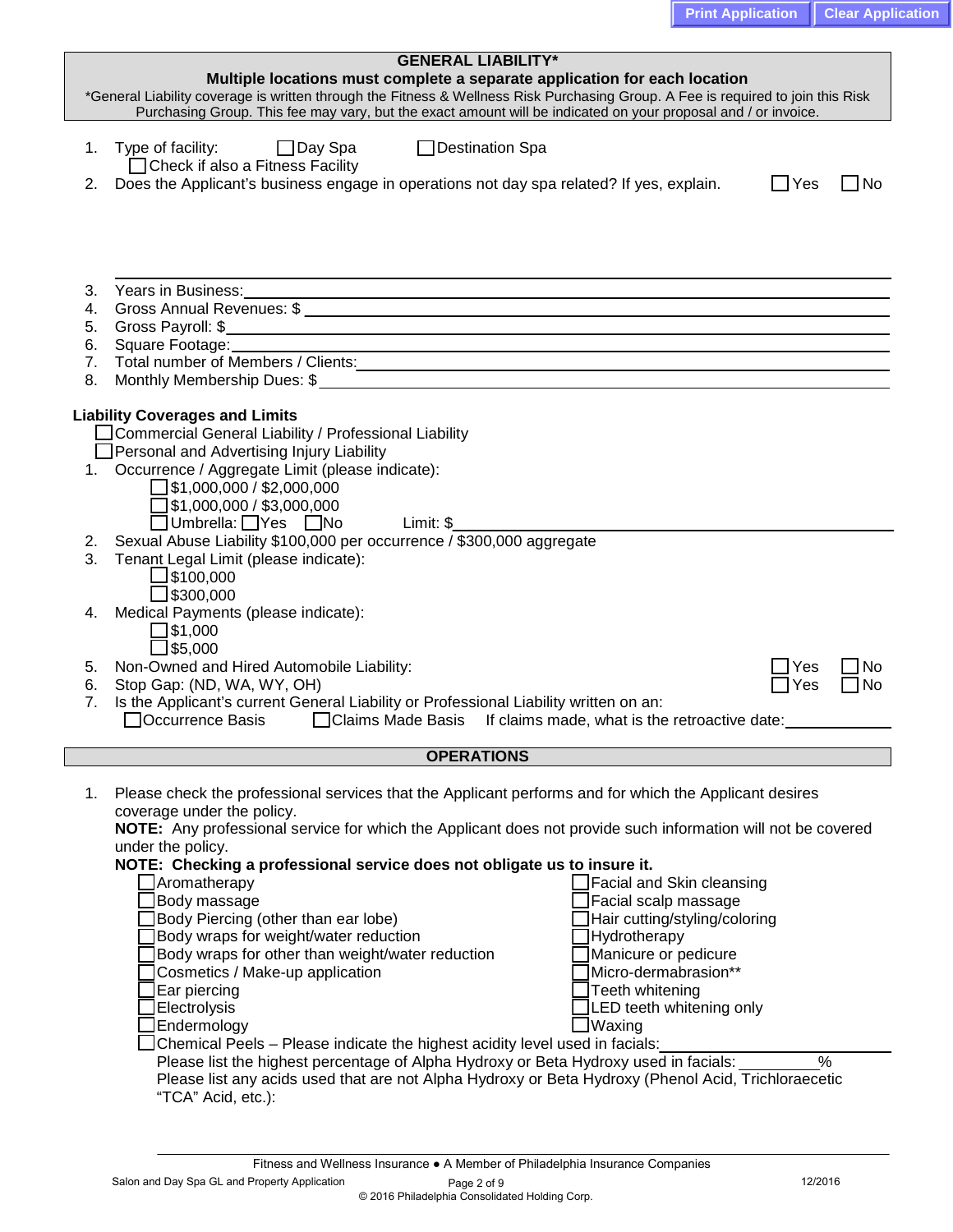|          | <b>GENERAL LIABILITY*</b>                                                                                                        |            |        |
|----------|----------------------------------------------------------------------------------------------------------------------------------|------------|--------|
|          | Multiple locations must complete a separate application for each location                                                        |            |        |
|          | *General Liability coverage is written through the Fitness & Wellness Risk Purchasing Group. A Fee is required to join this Risk |            |        |
|          | Purchasing Group. This fee may vary, but the exact amount will be indicated on your proposal and / or invoice.                   |            |        |
| 1.       | □ Destination Spa                                                                                                                |            |        |
|          | $\Box$ Day Spa<br>Type of facility:<br>□ Check if also a Fitness Facility                                                        |            |        |
|          | Does the Applicant's business engage in operations not day spa related? If yes, explain.                                         |            | – I No |
| 2.       |                                                                                                                                  | $\Box$ Yes |        |
|          |                                                                                                                                  |            |        |
|          |                                                                                                                                  |            |        |
|          |                                                                                                                                  |            |        |
|          |                                                                                                                                  |            |        |
| 3.       |                                                                                                                                  |            |        |
| 4.       |                                                                                                                                  |            |        |
| 5.       |                                                                                                                                  |            |        |
| 6.       |                                                                                                                                  |            |        |
| 7.       |                                                                                                                                  |            |        |
| 8.       | Total number of Members / Clients: Manual Account of Members / Clients: Manual Account of Members / Clients:                     |            |        |
|          |                                                                                                                                  |            |        |
|          | <b>Liability Coverages and Limits</b>                                                                                            |            |        |
|          | Commercial General Liability / Professional Liability                                                                            |            |        |
|          | Personal and Advertising Injury Liability                                                                                        |            |        |
|          | 1. Occurrence / Aggregate Limit (please indicate):                                                                               |            |        |
|          | $\Box$ \$1,000,000 / \$2,000,000                                                                                                 |            |        |
|          | \$1,000,000 / \$3,000,000                                                                                                        |            |        |
|          | JUmbrella: □Yes □No<br>Limit: \$                                                                                                 |            |        |
| 2.       | Sexual Abuse Liability \$100,000 per occurrence / \$300,000 aggregate                                                            |            |        |
| 3.       | Tenant Legal Limit (please indicate):                                                                                            |            |        |
|          | J\$100,000                                                                                                                       |            |        |
|          | $\Box$ \$300,000                                                                                                                 |            |        |
| 4.       | Medical Payments (please indicate):                                                                                              |            |        |
|          | ]\$1,000                                                                                                                         |            |        |
|          | ]\$5,000                                                                                                                         |            |        |
| 5.       | Non-Owned and Hired Automobile Liability:                                                                                        | Yes        | No     |
|          | Stop Gap: (ND, WA, WY, OH)                                                                                                       | Yes        | ∩No    |
| 6.<br>7. | Is the Applicant's current General Liability or Professional Liability written on an:                                            |            |        |
|          | Occurrence Basis                                                                                                                 |            |        |
|          | □ Claims Made Basis If claims made, what is the retroactive date:                                                                |            |        |
|          | <b>OPERATIONS</b>                                                                                                                |            |        |
|          |                                                                                                                                  |            |        |
| 1.       | Please check the professional services that the Applicant performs and for which the Applicant desires                           |            |        |
|          | coverage under the policy.                                                                                                       |            |        |
|          | NOTE: Any professional service for which the Applicant does not provide such information will not be covered                     |            |        |
|          | under the policy.                                                                                                                |            |        |
|          | NOTE: Checking a professional service does not obligate us to insure it.                                                         |            |        |
|          | <b>Aromatherapy</b><br>Facial and Skin cleansing                                                                                 |            |        |
|          | Body massage<br>Facial scalp massage                                                                                             |            |        |
|          | Body Piercing (other than ear lobe)<br>Hair cutting/styling/coloring                                                             |            |        |
|          | Body wraps for weight/water reduction<br>Hydrotherapy                                                                            |            |        |
|          | Manicure or pedicure<br>Body wraps for other than weight/water reduction                                                         |            |        |
|          | Micro-dermabrasion**<br>Cosmetics / Make-up application                                                                          |            |        |
|          | Ear piercing<br>Teeth whitening                                                                                                  |            |        |
|          | LED teeth whitening only<br>Electrolysis                                                                                         |            |        |
|          | Waxing<br><b>JEndermology</b>                                                                                                    |            |        |
|          | JChemical Peels – Please indicate the highest acidity level used in facials:                                                     |            |        |
|          | Please list the highest percentage of Alpha Hydroxy or Beta Hydroxy used in facials:                                             | $\%$       |        |
|          | Please list any acids used that are not Alpha Hydroxy or Beta Hydroxy (Phenol Acid, Trichloraecetic                              |            |        |
|          |                                                                                                                                  |            |        |
|          |                                                                                                                                  |            |        |
|          | "TCA" Acid, etc.):                                                                                                               |            |        |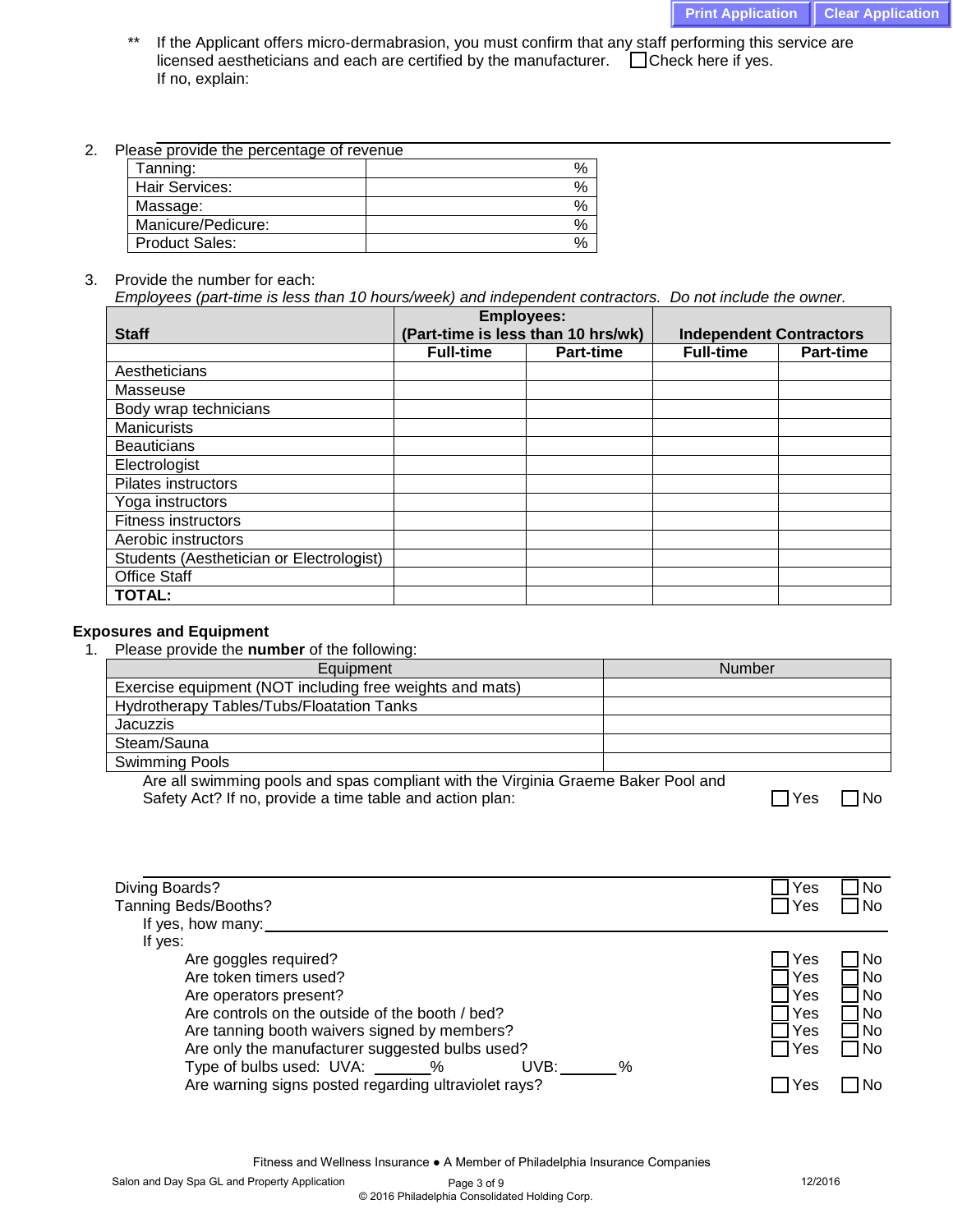- If the Applicant offers micro-dermabrasion, you must confirm that any staff performing this service are licensed aestheticians and each are certified by the manufacturer.  $\Box$  Check here if yes. If no, explain:
- 2. Please provide the percentage of revenue

| Tanning:              | $\%$ |
|-----------------------|------|
| Hair Services:        | $\%$ |
| Massage:              | $\%$ |
| Manicure/Pedicure:    | $\%$ |
| <b>Product Sales:</b> | $\%$ |

3. Provide the number for each:

*Employees (part-time is less than 10 hours/week) and independent contractors. Do not include the owner.*

|                                          | <b>Employees:</b>                  |                  |                                |                  |  |
|------------------------------------------|------------------------------------|------------------|--------------------------------|------------------|--|
| <b>Staff</b>                             | (Part-time is less than 10 hrs/wk) |                  | <b>Independent Contractors</b> |                  |  |
|                                          | <b>Full-time</b>                   | <b>Part-time</b> | <b>Full-time</b>               | <b>Part-time</b> |  |
| Aestheticians                            |                                    |                  |                                |                  |  |
| Masseuse                                 |                                    |                  |                                |                  |  |
| Body wrap technicians                    |                                    |                  |                                |                  |  |
| <b>Manicurists</b>                       |                                    |                  |                                |                  |  |
| <b>Beauticians</b>                       |                                    |                  |                                |                  |  |
| Electrologist                            |                                    |                  |                                |                  |  |
| <b>Pilates instructors</b>               |                                    |                  |                                |                  |  |
| Yoga instructors                         |                                    |                  |                                |                  |  |
| <b>Fitness instructors</b>               |                                    |                  |                                |                  |  |
| Aerobic instructors                      |                                    |                  |                                |                  |  |
| Students (Aesthetician or Electrologist) |                                    |                  |                                |                  |  |
| <b>Office Staff</b>                      |                                    |                  |                                |                  |  |
| <b>TOTAL:</b>                            |                                    |                  |                                |                  |  |

# **Exposures and Equipment**

1. Please provide the **number** of the following:

| Equipment                                                                         | Number |
|-----------------------------------------------------------------------------------|--------|
| Exercise equipment (NOT including free weights and mats)                          |        |
| Hydrotherapy Tables/Tubs/Floatation Tanks                                         |        |
| <b>Jacuzzis</b>                                                                   |        |
| Steam/Sauna                                                                       |        |
| <b>Swimming Pools</b>                                                             |        |
| Are all swimming pools and spas compliant with the Virginia Graeme Raker Pool and |        |

Are all swimming pools and spas compliant with the Virginia Graeme Baker Pool and Safety Act? If no, provide a time table and action plan:  $\Box$  Yes  $\Box$  No

|    | N٥ |
|----|----|
| -- |    |

| Diving Boards?                                       | ∃Yes       | 1 No |
|------------------------------------------------------|------------|------|
| Tanning Beds/Booths?                                 | $\Box$ Yes | l No |
| If yes, how many:                                    |            |      |
| If yes:                                              |            |      |
| Are goggles required?                                | Yes        | 1 No |
| Are token timers used?                               | Yes        | l No |
| Are operators present?                               | Yes        | 1 No |
| Are controls on the outside of the booth / bed?      | Yes        | □No  |
| Are tanning booth waivers signed by members?         | Yes        | 1 No |
| Are only the manufacturer suggested bulbs used?      | □ Yes      | □No  |
| Type of bulbs used: UVA: _______%<br>UVB:<br>%       |            |      |
| Are warning signs posted regarding ultraviolet rays? | Yes        |      |
|                                                      |            |      |

Fitness and Wellness Insurance ● A Member of Philadelphia Insurance Companies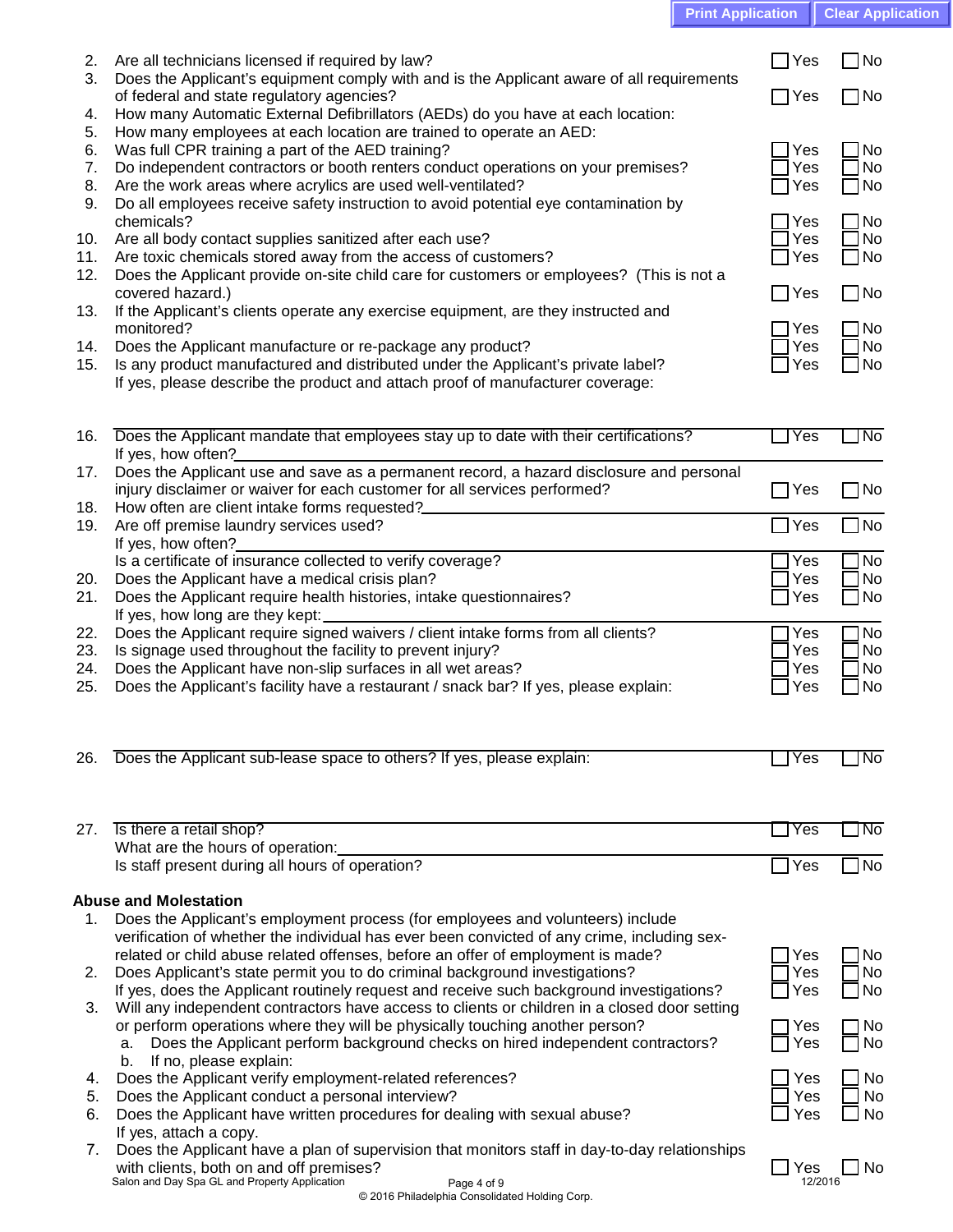| <b>Print Application   Clear Application</b> |  |
|----------------------------------------------|--|
|                                              |  |
|                                              |  |

| 2.         | Are all technicians licensed if required by law?                                                                                                                     | _∣Yes           | $\neg$ No              |
|------------|----------------------------------------------------------------------------------------------------------------------------------------------------------------------|-----------------|------------------------|
| 3.         | Does the Applicant's equipment comply with and is the Applicant aware of all requirements<br>of federal and state regulatory agencies?                               | ∃Yes            | $\neg$ No              |
| 4.         | How many Automatic External Defibrillators (AEDs) do you have at each location:                                                                                      |                 |                        |
| 5.         | How many employees at each location are trained to operate an AED:                                                                                                   |                 |                        |
| 6.<br>7.   | Was full CPR training a part of the AED training?<br>Do independent contractors or booth renters conduct operations on your premises?                                | Yes<br>Yes      | No<br><b>No</b>        |
| 8.         | Are the work areas where acrylics are used well-ventilated?                                                                                                          | Yes             | $\neg$ No              |
| 9.         | Do all employees receive safety instruction to avoid potential eye contamination by                                                                                  |                 |                        |
| 10.        | chemicals?<br>Are all body contact supplies sanitized after each use?                                                                                                | Yes<br>Yes      | <b>No</b><br><b>No</b> |
| 11.        | Are toxic chemicals stored away from the access of customers?                                                                                                        | Yes             | $\Box$ No              |
| 12.        | Does the Applicant provide on-site child care for customers or employees? (This is not a                                                                             |                 |                        |
| 13.        | covered hazard.)<br>If the Applicant's clients operate any exercise equipment, are they instructed and                                                               | $\Box$ Yes      | $\square$ No           |
|            | monitored?                                                                                                                                                           | Yes             | 7No                    |
| 14.        | Does the Applicant manufacture or re-package any product?                                                                                                            | Yes             | $\Box$ No              |
| 15.        | Is any product manufactured and distributed under the Applicant's private label?<br>If yes, please describe the product and attach proof of manufacturer coverage:   | Yes             | ]No                    |
|            |                                                                                                                                                                      |                 |                        |
|            |                                                                                                                                                                      |                 |                        |
| 16.        | Does the Applicant mandate that employees stay up to date with their certifications?<br>If yes, how often?                                                           | Yes             | l No                   |
| 17.        | Does the Applicant use and save as a permanent record, a hazard disclosure and personal                                                                              |                 |                        |
|            | injury disclaimer or waiver for each customer for all services performed?                                                                                            | $\sqsupset$ Yes | $\neg$ No              |
| 18.<br>19. | How often are client intake forms requested?<br>Are off premise laundry services used?                                                                               | $\exists$ Yes   | ]No                    |
|            | If yes, how often?                                                                                                                                                   |                 |                        |
|            | Is a certificate of insurance collected to verify coverage?                                                                                                          | Yes             | <b>No</b>              |
| 20.<br>21. | Does the Applicant have a medical crisis plan?<br>Does the Applicant require health histories, intake questionnaires?                                                | Yes<br>Yes      | No<br>$\Box$ No        |
|            | If yes, how long are they kept:                                                                                                                                      |                 |                        |
| 22.        | Does the Applicant require signed waivers / client intake forms from all clients?                                                                                    | Yes             | No                     |
| 23.<br>24. | Is signage used throughout the facility to prevent injury?<br>Does the Applicant have non-slip surfaces in all wet areas?                                            | Yes<br>Yes      | No<br><b>No</b>        |
| 25.        | Does the Applicant's facility have a restaurant / snack bar? If yes, please explain:                                                                                 | Yes             | 1No                    |
|            |                                                                                                                                                                      |                 |                        |
|            |                                                                                                                                                                      |                 |                        |
| 26.        | Does the Applicant sub-lease space to others? If yes, please explain:                                                                                                | Yes             | No.                    |
|            |                                                                                                                                                                      |                 |                        |
| 27.        | Is there a retail shop?                                                                                                                                              | Yes             | No                     |
|            | What are the hours of operation:                                                                                                                                     |                 |                        |
|            | Is staff present during all hours of operation?                                                                                                                      | $\Box$ Yes      | l No                   |
|            | <b>Abuse and Molestation</b>                                                                                                                                         |                 |                        |
| 1.         | Does the Applicant's employment process (for employees and volunteers) include                                                                                       |                 |                        |
|            | verification of whether the individual has ever been convicted of any crime, including sex-                                                                          |                 |                        |
| 2.         | related or child abuse related offenses, before an offer of employment is made?<br>Does Applicant's state permit you to do criminal background investigations?       | Yes<br>Yes      | <b>No</b><br><b>No</b> |
|            | If yes, does the Applicant routinely request and receive such background investigations?                                                                             | Yes             | N <sub>o</sub>         |
| 3.         | Will any independent contractors have access to clients or children in a closed door setting                                                                         |                 |                        |
|            | or perform operations where they will be physically touching another person?<br>Does the Applicant perform background checks on hired independent contractors?<br>а. | Yes<br>Yes      | No<br>No               |
|            | If no, please explain:<br>b.                                                                                                                                         |                 |                        |
| 4.         | Does the Applicant verify employment-related references?                                                                                                             | Yes             | No                     |
| 5.<br>6.   | Does the Applicant conduct a personal interview?<br>Does the Applicant have written procedures for dealing with sexual abuse?                                        | Yes<br>Yes      | <b>No</b><br><b>No</b> |
|            | If yes, attach a copy.                                                                                                                                               |                 |                        |
| 7.         | Does the Applicant have a plan of supervision that monitors staff in day-to-day relationships                                                                        |                 |                        |
|            | with clients, both on and off premises?<br>Salon and Day Spa GL and Property Application<br>Page 4 of 9                                                              | Yes<br>12/2016  | No.                    |
|            | © 2016 Philadelphia Consolidated Holding Corp.                                                                                                                       |                 |                        |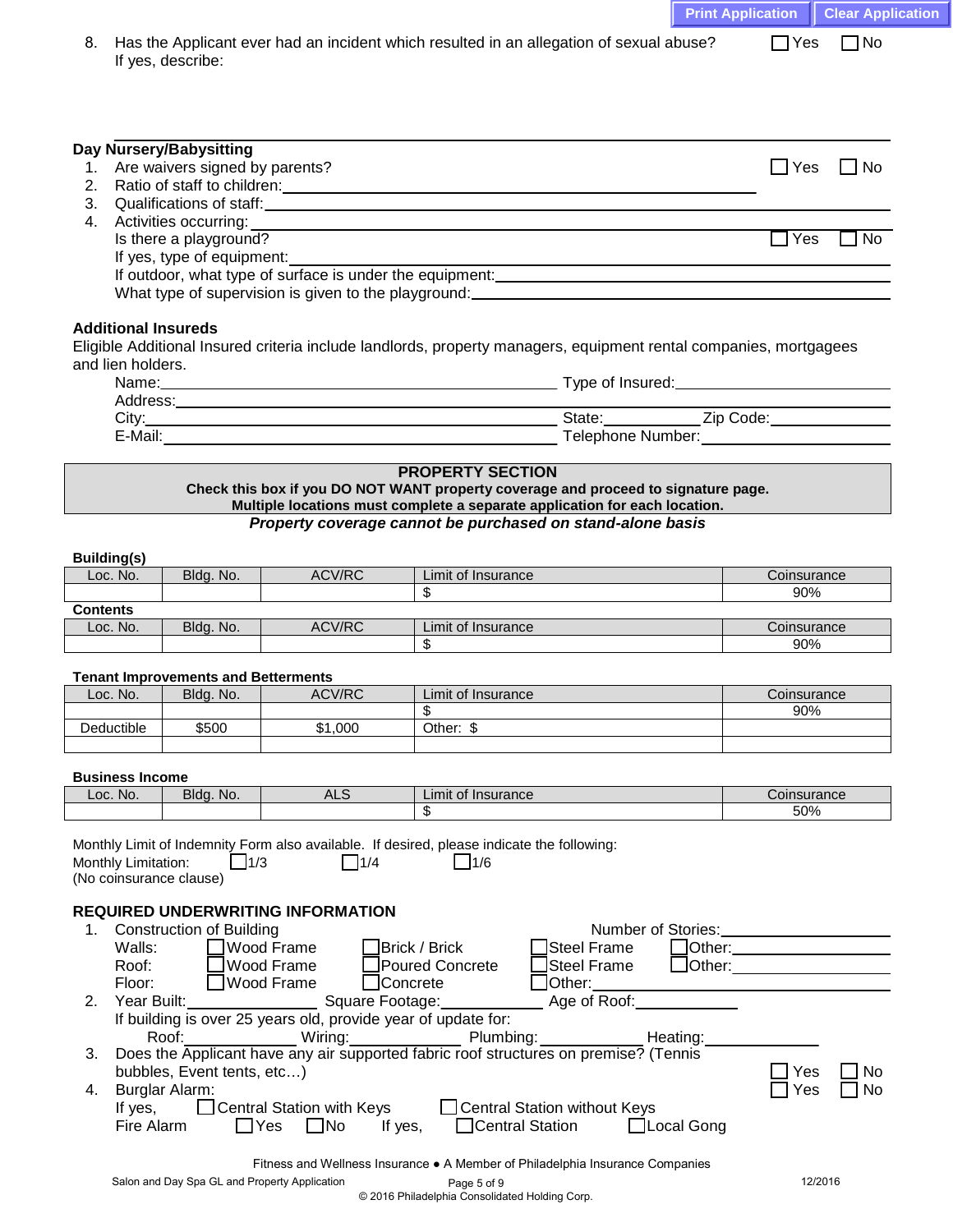|                                    |             |                                               |                                                                                                                                                                                                                                |                                                                                                                                                                                                                                      | <b>Print Application</b>      |                         | <b>Clear Application</b> |
|------------------------------------|-------------|-----------------------------------------------|--------------------------------------------------------------------------------------------------------------------------------------------------------------------------------------------------------------------------------|--------------------------------------------------------------------------------------------------------------------------------------------------------------------------------------------------------------------------------------|-------------------------------|-------------------------|--------------------------|
| 8.                                 |             |                                               |                                                                                                                                                                                                                                | Has the Applicant ever had an incident which resulted in an allegation of sexual abuse?                                                                                                                                              |                               | $\Box$ Yes<br>$\Box$ No |                          |
|                                    |             | If yes, describe:                             |                                                                                                                                                                                                                                |                                                                                                                                                                                                                                      |                               |                         |                          |
|                                    |             |                                               |                                                                                                                                                                                                                                |                                                                                                                                                                                                                                      |                               |                         |                          |
|                                    |             |                                               |                                                                                                                                                                                                                                |                                                                                                                                                                                                                                      |                               |                         |                          |
|                                    |             |                                               |                                                                                                                                                                                                                                |                                                                                                                                                                                                                                      |                               |                         |                          |
|                                    |             | Day Nursery/Babysitting                       |                                                                                                                                                                                                                                |                                                                                                                                                                                                                                      |                               |                         |                          |
| 1.                                 |             | Are waivers signed by parents?                |                                                                                                                                                                                                                                |                                                                                                                                                                                                                                      |                               | $\Box$ No<br>$\Box$ Yes |                          |
| 2.                                 |             |                                               |                                                                                                                                                                                                                                |                                                                                                                                                                                                                                      |                               |                         |                          |
| 3.<br>4.                           |             | Activities occurring:                         |                                                                                                                                                                                                                                | Qualifications of staff: <u>Contract of Contract of State of Contract of Contract of Contract of Contract of Contract of Contract of Contract of Contract of Contract of Contract of Contract of Contract of Contract of Contrac</u> |                               |                         |                          |
|                                    |             | Is there a playground?                        |                                                                                                                                                                                                                                | <u> 1989 - Johann Stoff, deutscher Stoff, der Stoff, der Stoff, der Stoff, der Stoff, der Stoff, der Stoff, der S</u>                                                                                                                |                               | $\Box$ Yes<br>$\Box$ No |                          |
|                                    |             | If yes, type of equipment:                    |                                                                                                                                                                                                                                |                                                                                                                                                                                                                                      |                               |                         |                          |
|                                    |             |                                               |                                                                                                                                                                                                                                | If outdoor, what type of surface is under the equipment: example and all the surface of surface is under the equipment:                                                                                                              |                               |                         |                          |
|                                    |             |                                               |                                                                                                                                                                                                                                |                                                                                                                                                                                                                                      |                               |                         |                          |
|                                    |             | <b>Additional Insureds</b>                    |                                                                                                                                                                                                                                |                                                                                                                                                                                                                                      |                               |                         |                          |
|                                    |             |                                               |                                                                                                                                                                                                                                | Eligible Additional Insured criteria include landlords, property managers, equipment rental companies, mortgagees                                                                                                                    |                               |                         |                          |
| and lien holders.                  |             |                                               |                                                                                                                                                                                                                                |                                                                                                                                                                                                                                      |                               |                         |                          |
|                                    |             |                                               |                                                                                                                                                                                                                                |                                                                                                                                                                                                                                      |                               |                         |                          |
|                                    |             |                                               |                                                                                                                                                                                                                                |                                                                                                                                                                                                                                      |                               |                         |                          |
|                                    |             |                                               | E-Mail: E-Mail: E-Mail: E-Mail: E-Mail: E-Mail: E-Mail: E-Mail: E-Mail: E-Mail: E-Mail: E-Mail: E-Mail: E-Mail: E-Mail: E-Mail: E-Mail: E-Mail: E-Mail: E-Mail: E-Mail: E-Mail: E-Mail: E-Mail: E-Mail: E-Mail: E-Mail: E-Mail | Telephone Number: The Contract of the Contract of the Contract of the Contract of the Contract of the Contract of the Contract of the Contract of the Contract of the Contract of the Contract of the Contract of the Contract       |                               |                         |                          |
|                                    |             |                                               |                                                                                                                                                                                                                                |                                                                                                                                                                                                                                      |                               |                         |                          |
|                                    |             |                                               |                                                                                                                                                                                                                                | <b>PROPERTY SECTION</b><br>Check this box if you DO NOT WANT property coverage and proceed to signature page.                                                                                                                        |                               |                         |                          |
|                                    |             |                                               |                                                                                                                                                                                                                                | Multiple locations must complete a separate application for each location.                                                                                                                                                           |                               |                         |                          |
|                                    |             |                                               |                                                                                                                                                                                                                                | Property coverage cannot be purchased on stand-alone basis                                                                                                                                                                           |                               |                         |                          |
|                                    |             |                                               |                                                                                                                                                                                                                                |                                                                                                                                                                                                                                      |                               |                         |                          |
| <b>Building(s)</b><br>Loc. No.     |             | Bldg. No.                                     | ACV/RC                                                                                                                                                                                                                         | Limit of Insurance                                                                                                                                                                                                                   |                               | Coinsurance             |                          |
|                                    |             |                                               |                                                                                                                                                                                                                                |                                                                                                                                                                                                                                      |                               | 90%                     |                          |
| <b>Contents</b>                    |             |                                               |                                                                                                                                                                                                                                |                                                                                                                                                                                                                                      |                               |                         |                          |
| Loc. No.                           |             | Bldg. No.                                     | ACV/RC                                                                                                                                                                                                                         | Limit of Insurance                                                                                                                                                                                                                   |                               | Coinsurance             |                          |
|                                    |             |                                               |                                                                                                                                                                                                                                | \$                                                                                                                                                                                                                                   |                               | 90%                     |                          |
|                                    |             | <b>Tenant Improvements and Betterments</b>    |                                                                                                                                                                                                                                |                                                                                                                                                                                                                                      |                               |                         |                          |
| Loc. No.                           |             | Bldg. No.                                     | ACV/RC                                                                                                                                                                                                                         | Limit of Insurance                                                                                                                                                                                                                   |                               | Coinsurance             |                          |
| Deductible                         |             | \$500                                         | \$1,000                                                                                                                                                                                                                        | \$<br>Other: \$                                                                                                                                                                                                                      |                               | 90%                     |                          |
|                                    |             |                                               |                                                                                                                                                                                                                                |                                                                                                                                                                                                                                      |                               |                         |                          |
|                                    |             |                                               |                                                                                                                                                                                                                                |                                                                                                                                                                                                                                      |                               |                         |                          |
| <b>Business Income</b><br>Loc. No. |             | Bldg. No.                                     | <b>ALS</b>                                                                                                                                                                                                                     | Limit of Insurance                                                                                                                                                                                                                   |                               | Coinsurance             |                          |
|                                    |             |                                               |                                                                                                                                                                                                                                | \$                                                                                                                                                                                                                                   |                               | 50%                     |                          |
|                                    |             |                                               |                                                                                                                                                                                                                                |                                                                                                                                                                                                                                      |                               |                         |                          |
|                                    |             |                                               |                                                                                                                                                                                                                                | Monthly Limit of Indemnity Form also available. If desired, please indicate the following:                                                                                                                                           |                               |                         |                          |
| Monthly Limitation:                |             | $\Box$ 1/3<br>(No coinsurance clause)         | $\Box$ 1/4                                                                                                                                                                                                                     | $\Box$ 1/6                                                                                                                                                                                                                           |                               |                         |                          |
|                                    |             |                                               |                                                                                                                                                                                                                                |                                                                                                                                                                                                                                      |                               |                         |                          |
|                                    |             |                                               | <b>REQUIRED UNDERWRITING INFORMATION</b>                                                                                                                                                                                       |                                                                                                                                                                                                                                      |                               |                         |                          |
| 1.                                 | Walls:      | <b>Construction of Building</b>               | Wood Frame                                                                                                                                                                                                                     | Steel Frame<br>Brick / Brick                                                                                                                                                                                                         | Other: ______________________ |                         |                          |
|                                    | Roof:       |                                               | Wood Frame                                                                                                                                                                                                                     | Steel Frame<br>Poured Concrete                                                                                                                                                                                                       |                               |                         |                          |
|                                    | Floor:      |                                               | Wood Frame<br>$\Box$ Concrete                                                                                                                                                                                                  | $\,$ ]Other: $\_$                                                                                                                                                                                                                    |                               |                         |                          |
| 2.                                 | Year Built: |                                               | Square Footage:                                                                                                                                                                                                                | Age of Roof:                                                                                                                                                                                                                         |                               |                         |                          |
|                                    |             |                                               | If building is over 25 years old, provide year of update for:                                                                                                                                                                  |                                                                                                                                                                                                                                      |                               |                         |                          |
| 3.                                 |             | Roof:                                         |                                                                                                                                                                                                                                | Wiring: Plumbing:<br>Heating:<br>Does the Applicant have any air supported fabric roof structures on premise? (Tennis                                                                                                                |                               |                         |                          |
|                                    |             | bubbles, Event tents, etc)                    |                                                                                                                                                                                                                                |                                                                                                                                                                                                                                      |                               | Yes                     | No                       |
| 4.                                 |             | <b>Burglar Alarm:</b>                         |                                                                                                                                                                                                                                |                                                                                                                                                                                                                                      |                               | Yes                     |                          |
|                                    | If yes,     |                                               | □ Central Station with Keys                                                                                                                                                                                                    | □ Central Station without Keys                                                                                                                                                                                                       |                               |                         |                          |
|                                    | Fire Alarm  |                                               | $\square$ No<br>$\exists$ Yes<br>If yes,                                                                                                                                                                                       | □Central Station<br>□Local Gong                                                                                                                                                                                                      |                               |                         |                          |
|                                    |             |                                               |                                                                                                                                                                                                                                |                                                                                                                                                                                                                                      |                               |                         |                          |
|                                    |             | Salon and Day Spa GL and Property Application |                                                                                                                                                                                                                                | Fitness and Wellness Insurance • A Member of Philadelphia Insurance Companies<br>Page 5 of 9                                                                                                                                         |                               | 12/2016                 |                          |
|                                    |             |                                               |                                                                                                                                                                                                                                | © 2016 Philadelphia Consolidated Holding Corp.                                                                                                                                                                                       |                               |                         |                          |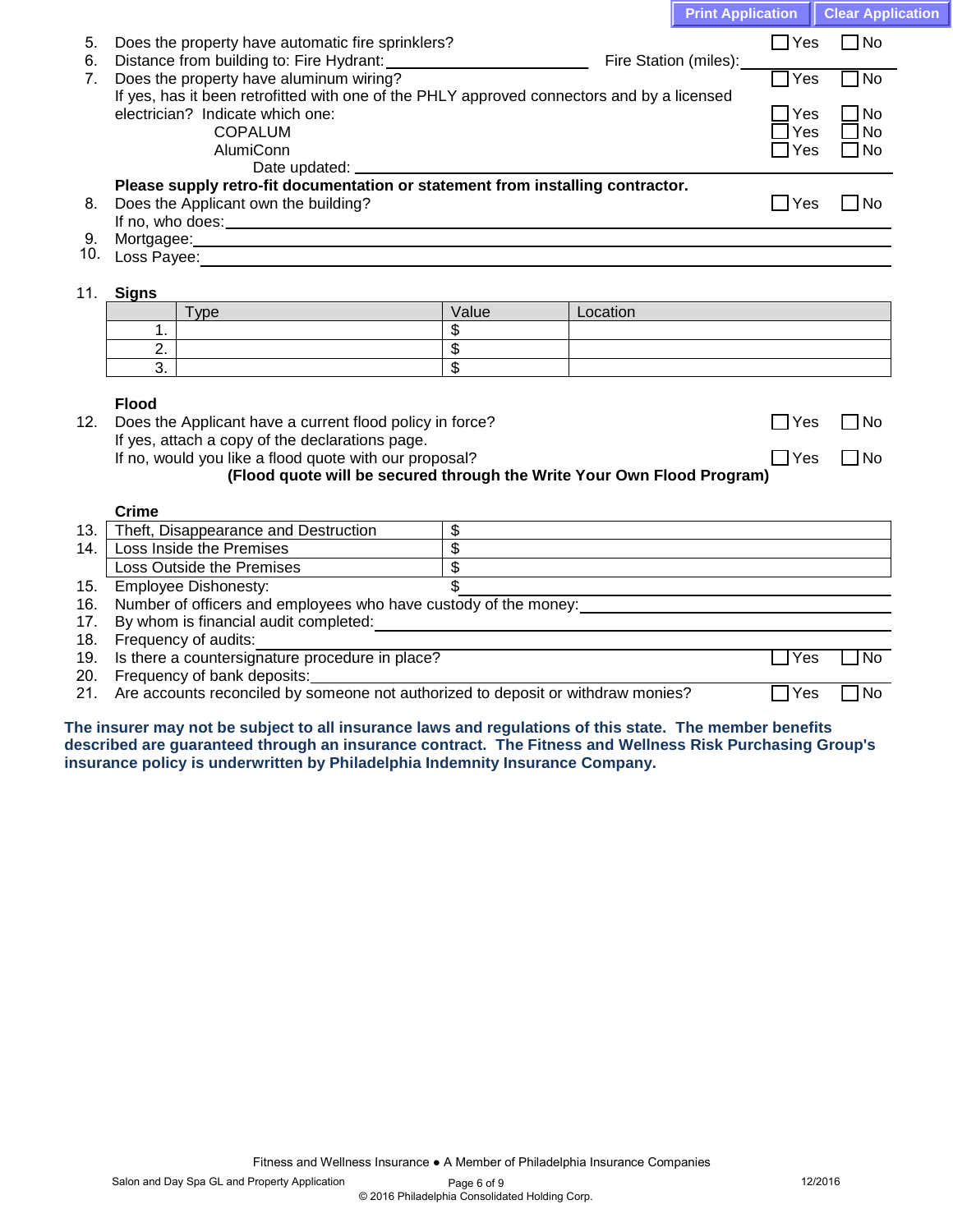|            |                                                                                                                                                                                                                                  |                          |          | <b>Print Application</b> |                           | <b>Clear Application</b> |
|------------|----------------------------------------------------------------------------------------------------------------------------------------------------------------------------------------------------------------------------------|--------------------------|----------|--------------------------|---------------------------|--------------------------|
| 5.         | Does the property have automatic fire sprinklers?                                                                                                                                                                                |                          |          |                          | $\Box$ Yes                | $\Box$ No                |
| 6.         |                                                                                                                                                                                                                                  |                          |          | Fire Station (miles):    | $\overline{\mathsf{Yes}}$ | T <sub>No</sub>          |
| 7.         | Does the property have aluminum wiring?<br>If yes, has it been retrofitted with one of the PHLY approved connectors and by a licensed                                                                                            |                          |          |                          |                           |                          |
|            | electrician? Indicate which one:                                                                                                                                                                                                 |                          |          |                          | $7$ Yes                   | $\Box$ No                |
|            | <b>COPALUM</b><br>AlumiConn                                                                                                                                                                                                      |                          |          |                          | $\exists$ Yes<br>∃Yes     | $\Box$ No<br>$\Box$ No   |
|            |                                                                                                                                                                                                                                  |                          |          |                          |                           |                          |
|            | Please supply retro-fit documentation or statement from installing contractor.                                                                                                                                                   |                          |          |                          |                           |                          |
| 8.         | Does the Applicant own the building?                                                                                                                                                                                             |                          |          |                          | $\Box$ Yes                | $\square$ No             |
| 9.         |                                                                                                                                                                                                                                  |                          |          |                          |                           |                          |
|            |                                                                                                                                                                                                                                  |                          |          |                          |                           |                          |
| 11.        | <b>Signs</b>                                                                                                                                                                                                                     |                          |          |                          |                           |                          |
|            | <b>Type</b>                                                                                                                                                                                                                      | Value                    | Location |                          |                           |                          |
|            | 1.                                                                                                                                                                                                                               | \$                       |          |                          |                           |                          |
|            | 2.                                                                                                                                                                                                                               | $\overline{\$}$          |          |                          |                           |                          |
|            | 3.                                                                                                                                                                                                                               | $\overline{\mathbf{s}}$  |          |                          |                           |                          |
|            | <b>Flood</b>                                                                                                                                                                                                                     |                          |          |                          |                           |                          |
| 12.        | Does the Applicant have a current flood policy in force?                                                                                                                                                                         |                          |          |                          | $\Box$ Yes                | $\Box$ No                |
|            | If yes, attach a copy of the declarations page.                                                                                                                                                                                  |                          |          |                          |                           |                          |
|            | If no, would you like a flood quote with our proposal?                                                                                                                                                                           |                          |          |                          | $\sqsupset$ Yes           | $\Box$ No                |
|            | (Flood quote will be secured through the Write Your Own Flood Program)                                                                                                                                                           |                          |          |                          |                           |                          |
|            | Crime                                                                                                                                                                                                                            |                          |          |                          |                           |                          |
| 13.1       | Theft, Disappearance and Destruction                                                                                                                                                                                             | $\overline{\mathcal{S}}$ |          |                          |                           |                          |
| 14.        | Loss Inside the Premises                                                                                                                                                                                                         | $\overline{\$}$          |          |                          |                           |                          |
|            | Loss Outside the Premises                                                                                                                                                                                                        | $\overline{\$}$          |          |                          |                           |                          |
| 15.        | <b>Employee Dishonesty:</b>                                                                                                                                                                                                      | $\overline{\$}$          |          |                          |                           |                          |
| 16.        | Number of officers and employees who have custody of the money:                                                                                                                                                                  |                          |          |                          |                           |                          |
| 17.        | By whom is financial audit completed:<br>Superior and the state of the state of the state of the state of the state of the state of the state of the state of the state of the state of the state of the state of the state of t |                          |          |                          |                           |                          |
| 18.        | Frequency of audits:                                                                                                                                                                                                             |                          |          |                          |                           |                          |
| 19.        | Is there a countersignature procedure in place?                                                                                                                                                                                  |                          |          |                          | $\exists$ Yes             | No.                      |
| 20.<br>21. | Frequency of bank deposits:<br>Are accounts reconciled by someone not authorized to deposit or withdraw monies?                                                                                                                  |                          |          |                          | 7Yes                      | 1No                      |
|            |                                                                                                                                                                                                                                  |                          |          |                          |                           |                          |

**The insurer may not be subject to all insurance laws and regulations of this state. The member benefits described are guaranteed through an insurance contract. The Fitness and Wellness Risk Purchasing Group's insurance policy is underwritten by Philadelphia Indemnity Insurance Company.**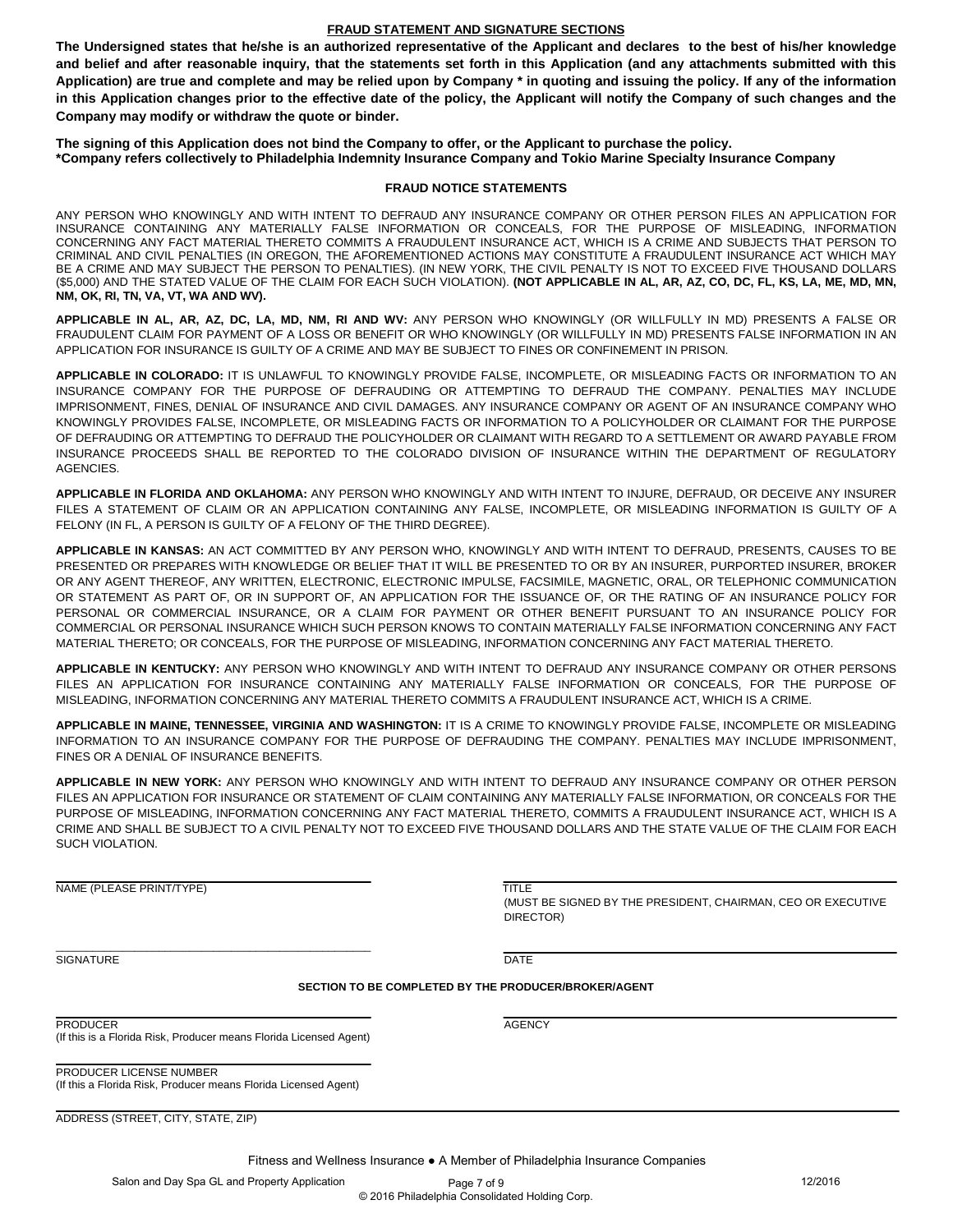#### **FRAUD STATEMENT AND SIGNATURE SECTIONS**

**The Undersigned states that he/she is an authorized representative of the Applicant and declares to the best of his/her knowledge and belief and after reasonable inquiry, that the statements set forth in this Application (and any attachments submitted with this Application) are true and complete and may be relied upon by Company \* in quoting and issuing the policy. If any of the information in this Application changes prior to the effective date of the policy, the Applicant will notify the Company of such changes and the Company may modify or withdraw the quote or binder.** 

**The signing of this Application does not bind the Company to offer, or the Applicant to purchase the policy. \*Company refers collectively to Philadelphia Indemnity Insurance Company and Tokio Marine Specialty Insurance Company**

#### **FRAUD NOTICE STATEMENTS**

ANY PERSON WHO KNOWINGLY AND WITH INTENT TO DEFRAUD ANY INSURANCE COMPANY OR OTHER PERSON FILES AN APPLICATION FOR INSURANCE CONTAINING ANY MATERIALLY FALSE INFORMATION OR CONCEALS, FOR THE PURPOSE OF MISLEADING, INFORMATION CONCERNING ANY FACT MATERIAL THERETO COMMITS A FRAUDULENT INSURANCE ACT, WHICH IS A CRIME AND SUBJECTS THAT PERSON TO CRIMINAL AND CIVIL PENALTIES (IN OREGON, THE AFOREMENTIONED ACTIONS MAY CONSTITUTE A FRAUDULENT INSURANCE ACT WHICH MAY BE A CRIME AND MAY SUBJECT THE PERSON TO PENALTIES). (IN NEW YORK, THE CIVIL PENALTY IS NOT TO EXCEED FIVE THOUSAND DOLLARS (\$5,000) AND THE STATED VALUE OF THE CLAIM FOR EACH SUCH VIOLATION). **(NOT APPLICABLE IN AL, AR, AZ, CO, DC, FL, KS, LA, ME, MD, MN, NM, OK, RI, TN, VA, VT, WA AND WV).**

**APPLICABLE IN AL, AR, AZ, DC, LA, MD, NM, RI AND WV:** ANY PERSON WHO KNOWINGLY (OR WILLFULLY IN MD) PRESENTS A FALSE OR FRAUDULENT CLAIM FOR PAYMENT OF A LOSS OR BENEFIT OR WHO KNOWINGLY (OR WILLFULLY IN MD) PRESENTS FALSE INFORMATION IN AN APPLICATION FOR INSURANCE IS GUILTY OF A CRIME AND MAY BE SUBJECT TO FINES OR CONFINEMENT IN PRISON.

**APPLICABLE IN COLORADO:** IT IS UNLAWFUL TO KNOWINGLY PROVIDE FALSE, INCOMPLETE, OR MISLEADING FACTS OR INFORMATION TO AN INSURANCE COMPANY FOR THE PURPOSE OF DEFRAUDING OR ATTEMPTING TO DEFRAUD THE COMPANY. PENALTIES MAY INCLUDE IMPRISONMENT, FINES, DENIAL OF INSURANCE AND CIVIL DAMAGES. ANY INSURANCE COMPANY OR AGENT OF AN INSURANCE COMPANY WHO KNOWINGLY PROVIDES FALSE, INCOMPLETE, OR MISLEADING FACTS OR INFORMATION TO A POLICYHOLDER OR CLAIMANT FOR THE PURPOSE OF DEFRAUDING OR ATTEMPTING TO DEFRAUD THE POLICYHOLDER OR CLAIMANT WITH REGARD TO A SETTLEMENT OR AWARD PAYABLE FROM INSURANCE PROCEEDS SHALL BE REPORTED TO THE COLORADO DIVISION OF INSURANCE WITHIN THE DEPARTMENT OF REGULATORY AGENCIES.

**APPLICABLE IN FLORIDA AND OKLAHOMA:** ANY PERSON WHO KNOWINGLY AND WITH INTENT TO INJURE, DEFRAUD, OR DECEIVE ANY INSURER FILES A STATEMENT OF CLAIM OR AN APPLICATION CONTAINING ANY FALSE, INCOMPLETE, OR MISLEADING INFORMATION IS GUILTY OF A FELONY (IN FL, A PERSON IS GUILTY OF A FELONY OF THE THIRD DEGREE).

**APPLICABLE IN KANSAS:** AN ACT COMMITTED BY ANY PERSON WHO, KNOWINGLY AND WITH INTENT TO DEFRAUD, PRESENTS, CAUSES TO BE PRESENTED OR PREPARES WITH KNOWLEDGE OR BELIEF THAT IT WILL BE PRESENTED TO OR BY AN INSURER, PURPORTED INSURER, BROKER OR ANY AGENT THEREOF, ANY WRITTEN, ELECTRONIC, ELECTRONIC IMPULSE, FACSIMILE, MAGNETIC, ORAL, OR TELEPHONIC COMMUNICATION OR STATEMENT AS PART OF, OR IN SUPPORT OF, AN APPLICATION FOR THE ISSUANCE OF, OR THE RATING OF AN INSURANCE POLICY FOR PERSONAL OR COMMERCIAL INSURANCE, OR A CLAIM FOR PAYMENT OR OTHER BENEFIT PURSUANT TO AN INSURANCE POLICY FOR COMMERCIAL OR PERSONAL INSURANCE WHICH SUCH PERSON KNOWS TO CONTAIN MATERIALLY FALSE INFORMATION CONCERNING ANY FACT MATERIAL THERETO; OR CONCEALS, FOR THE PURPOSE OF MISLEADING, INFORMATION CONCERNING ANY FACT MATERIAL THERETO.

**APPLICABLE IN KENTUCKY:** ANY PERSON WHO KNOWINGLY AND WITH INTENT TO DEFRAUD ANY INSURANCE COMPANY OR OTHER PERSONS FILES AN APPLICATION FOR INSURANCE CONTAINING ANY MATERIALLY FALSE INFORMATION OR CONCEALS, FOR THE PURPOSE OF MISLEADING, INFORMATION CONCERNING ANY MATERIAL THERETO COMMITS A FRAUDULENT INSURANCE ACT, WHICH IS A CRIME.

**APPLICABLE IN MAINE, TENNESSEE, VIRGINIA AND WASHINGTON:** IT IS A CRIME TO KNOWINGLY PROVIDE FALSE, INCOMPLETE OR MISLEADING INFORMATION TO AN INSURANCE COMPANY FOR THE PURPOSE OF DEFRAUDING THE COMPANY. PENALTIES MAY INCLUDE IMPRISONMENT, FINES OR A DENIAL OF INSURANCE BENEFITS.

**APPLICABLE IN NEW YORK:** ANY PERSON WHO KNOWINGLY AND WITH INTENT TO DEFRAUD ANY INSURANCE COMPANY OR OTHER PERSON FILES AN APPLICATION FOR INSURANCE OR STATEMENT OF CLAIM CONTAINING ANY MATERIALLY FALSE INFORMATION, OR CONCEALS FOR THE PURPOSE OF MISLEADING, INFORMATION CONCERNING ANY FACT MATERIAL THERETO, COMMITS A FRAUDULENT INSURANCE ACT, WHICH IS A CRIME AND SHALL BE SUBJECT TO A CIVIL PENALTY NOT TO EXCEED FIVE THOUSAND DOLLARS AND THE STATE VALUE OF THE CLAIM FOR EACH SUCH VIOLATION.

NAME (PLEASE PRINT/TYPE) TITLE

(MUST BE SIGNED BY THE PRESIDENT, CHAIRMAN, CEO OR EXECUTIVE DIRECTOR)

SIGNATURE DATE DATE OF A SERIES OF A SERIES OF A SERIES OF A SERIES OF A SERIES OF A SERIES OF A SERIES OF A S

#### **SECTION TO BE COMPLETED BY THE PRODUCER/BROKER/AGENT**

PRODUCER AGENCY (If this is a Florida Risk, Producer means Florida Licensed Agent)

\_\_\_\_\_\_\_\_\_\_\_\_\_\_\_\_\_\_\_\_\_\_\_\_\_\_\_\_\_\_\_\_\_\_\_\_\_\_\_\_\_\_\_\_\_\_\_\_\_\_\_\_

PRODUCER LICENSE NUMBER (If this a Florida Risk, Producer means Florida Licensed Agent)

ADDRESS (STREET, CITY, STATE, ZIP)

Fitness and Wellness Insurance ● A Member of Philadelphia Insurance Companies

Salon and Day Spa GL and Property Application Page 7 of 9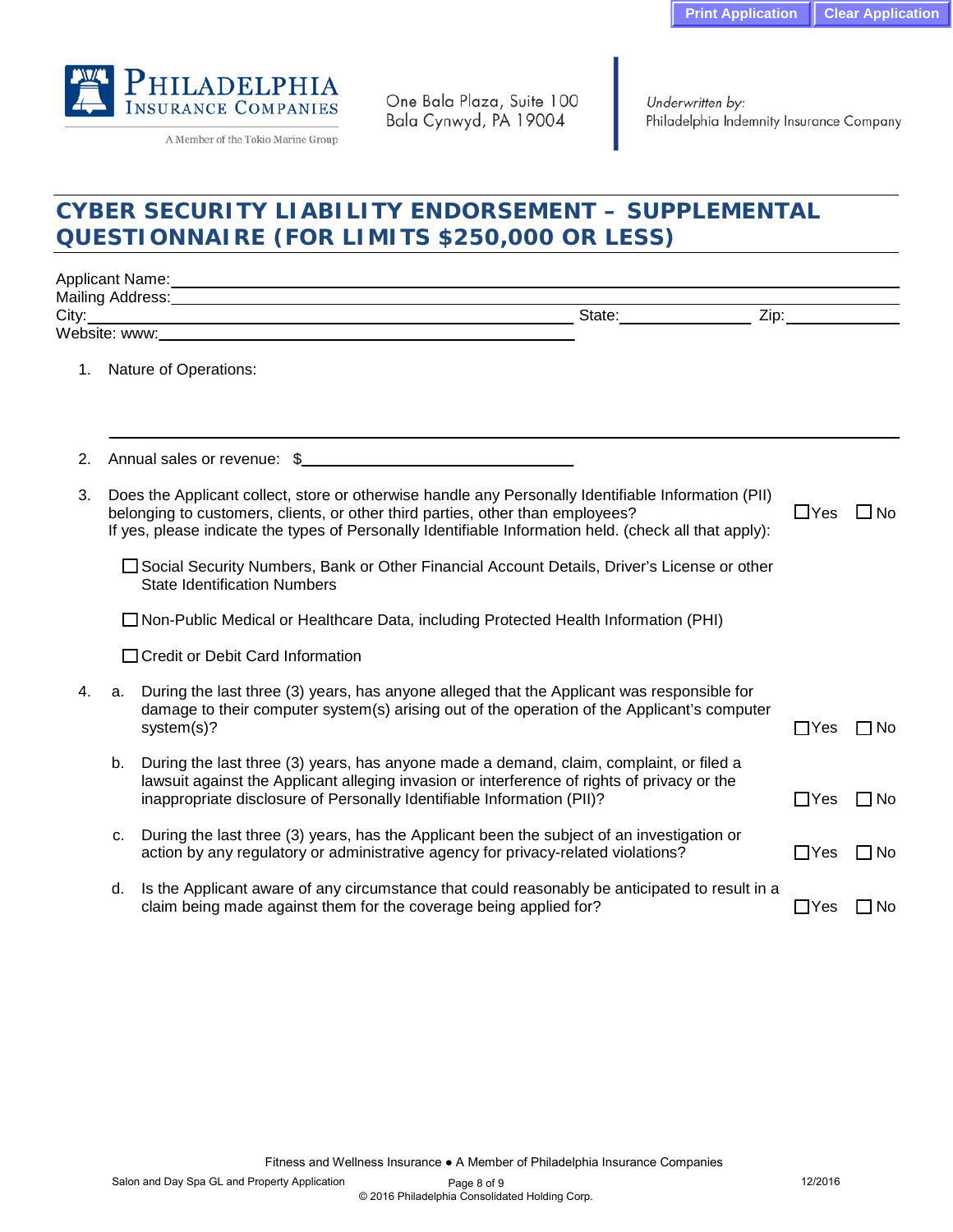

A Member of the Tokio Marine Group

One Bala Plaza, Suite 100 Bala Cynwyd, PA 19004

Underwritten by: Philadelphia Indemnity Insurance Company

# **CYBER SECURITY LIABILITY ENDORSEMENT – SUPPLEMENTAL QUESTIONNAIRE (FOR LIMITS \$250,000 OR LESS)**

|                                                                                                                                                                                                                                      |                                                                                                                                      | Applicant Name: Later and Applicant Name: Later and Applicant Name: Later and Applicant Name: Later and Applicant Applicant Applicant Applicant Applicant Applicant Applicant Applicant Applicant Applicant Applicant Applican                                                                  |                                                                                                                                                                                                                                |              |  |
|--------------------------------------------------------------------------------------------------------------------------------------------------------------------------------------------------------------------------------------|--------------------------------------------------------------------------------------------------------------------------------------|-------------------------------------------------------------------------------------------------------------------------------------------------------------------------------------------------------------------------------------------------------------------------------------------------|--------------------------------------------------------------------------------------------------------------------------------------------------------------------------------------------------------------------------------|--------------|--|
| City:                                                                                                                                                                                                                                |                                                                                                                                      |                                                                                                                                                                                                                                                                                                 | Zip: the contract of the contract of the contract of the contract of the contract of the contract of the contract of the contract of the contract of the contract of the contract of the contract of the contract of the contr |              |  |
| <u>. In the contract of the contract of the contract of the contract of the contract of the contract of the contract of the contract of the contract of the contract of the contract of the contract of the contract of the cont</u> |                                                                                                                                      |                                                                                                                                                                                                                                                                                                 |                                                                                                                                                                                                                                |              |  |
| 1.                                                                                                                                                                                                                                   |                                                                                                                                      | Nature of Operations:                                                                                                                                                                                                                                                                           |                                                                                                                                                                                                                                |              |  |
| 2.                                                                                                                                                                                                                                   |                                                                                                                                      | Annual sales or revenue: \$                                                                                                                                                                                                                                                                     |                                                                                                                                                                                                                                |              |  |
| 3.                                                                                                                                                                                                                                   |                                                                                                                                      | Does the Applicant collect, store or otherwise handle any Personally Identifiable Information (PII)<br>belonging to customers, clients, or other third parties, other than employees?<br>If yes, please indicate the types of Personally Identifiable Information held. (check all that apply): | $\Box$ Yes                                                                                                                                                                                                                     | $\square$ No |  |
|                                                                                                                                                                                                                                      | □ Social Security Numbers, Bank or Other Financial Account Details, Driver's License or other<br><b>State Identification Numbers</b> |                                                                                                                                                                                                                                                                                                 |                                                                                                                                                                                                                                |              |  |
|                                                                                                                                                                                                                                      |                                                                                                                                      | □ Non-Public Medical or Healthcare Data, including Protected Health Information (PHI)                                                                                                                                                                                                           |                                                                                                                                                                                                                                |              |  |
|                                                                                                                                                                                                                                      |                                                                                                                                      | □ Credit or Debit Card Information                                                                                                                                                                                                                                                              |                                                                                                                                                                                                                                |              |  |
| 4.                                                                                                                                                                                                                                   | a.                                                                                                                                   | During the last three (3) years, has anyone alleged that the Applicant was responsible for<br>damage to their computer system(s) arising out of the operation of the Applicant's computer<br>system(s)?                                                                                         | $\Box$ Yes                                                                                                                                                                                                                     | $\Box$ No    |  |
|                                                                                                                                                                                                                                      | b.                                                                                                                                   | During the last three (3) years, has anyone made a demand, claim, complaint, or filed a<br>lawsuit against the Applicant alleging invasion or interference of rights of privacy or the<br>inappropriate disclosure of Personally Identifiable Information (PII)?                                | $\Box$ Yes                                                                                                                                                                                                                     | $\Box$ No    |  |
|                                                                                                                                                                                                                                      | c.                                                                                                                                   | During the last three (3) years, has the Applicant been the subject of an investigation or<br>action by any regulatory or administrative agency for privacy-related violations?                                                                                                                 | $\Box$ Yes                                                                                                                                                                                                                     | $\Box$ No    |  |
|                                                                                                                                                                                                                                      | d.                                                                                                                                   | Is the Applicant aware of any circumstance that could reasonably be anticipated to result in a<br>claim being made against them for the coverage being applied for?                                                                                                                             | $\Box$ Yes                                                                                                                                                                                                                     | $\Box$ No    |  |